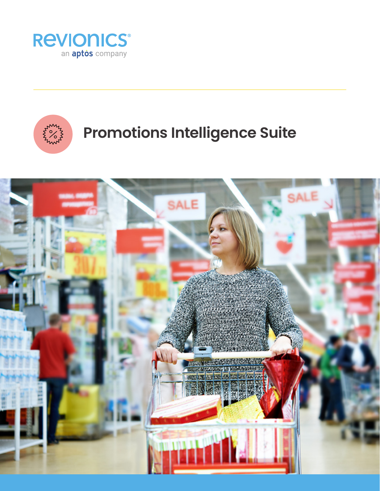



# **Promotions Intelligence Suite**

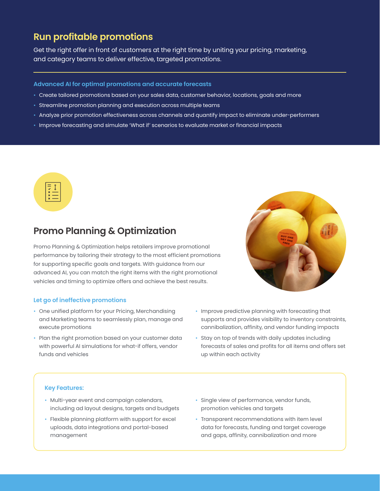# **Run profitable promotions**

Get the right offer in front of customers at the right time by uniting your pricing, marketing, and category teams to deliver effective, targeted promotions.

## **Advanced AI for optimal promotions and accurate forecasts**

- Create tailored promotions based on your sales data, customer behavior, locations, goals and more
- Streamline promotion planning and execution across multiple teams
- Analyze prior promotion effectiveness across channels and quantify impact to eliminate under-performers
- Improve forecasting and simulate 'What if' scenarios to evaluate market or financial impacts



# **Promo Planning & Optimization**

Promo Planning & Optimization helps retailers improve promotional performance by tailoring their strategy to the most efficient promotions for supporting specific goals and targets. With guidance from our advanced AI, you can match the right items with the right promotional vehicles and timing to optimize offers and achieve the best results.

### **Let go of ineffective promotions**

- One unified platform for your Pricing, Merchandising and Marketing teams to seamlessly plan, manage and execute promotions
- Plan the right promotion based on your customer data with powerful AI simulations for what-if offers, vendor funds and vehicles
- 
- Improve predictive planning with forecasting that supports and provides visibility to inventory constraints, cannibalization, affinity, and vendor funding impacts
- Stay on top of trends with daily updates including forecasts of sales and profits for all items and offers set up within each activity

## **Key Features:**

- Multi-year event and campaign calendars, including ad layout designs, targets and budgets
- Flexible planning platform with support for excel uploads, data integrations and portal-based management
- Single view of performance, vendor funds, promotion vehicles and targets
- Transparent recommendations with item level data for forecasts, funding and target coverage and gaps, affinity, cannibalization and more